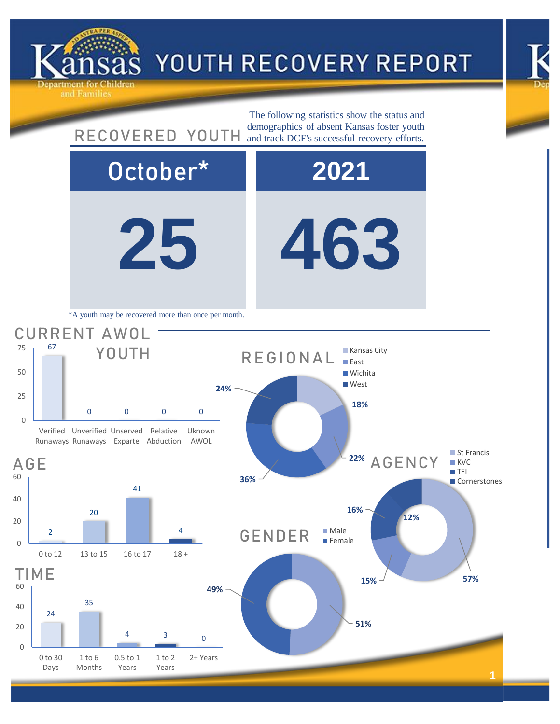





ind Families